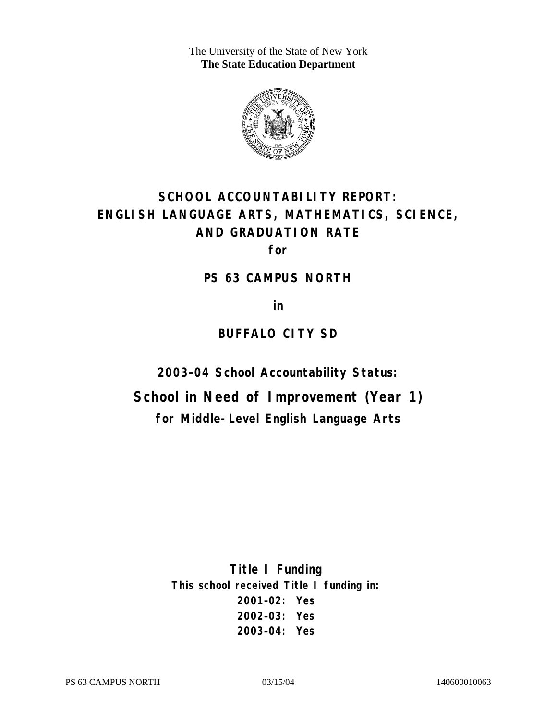The University of the State of New York **The State Education Department** 



# **SCHOOL ACCOUNTABILITY REPORT: ENGLISH LANGUAGE ARTS, MATHEMATICS, SCIENCE, AND GRADUATION RATE**

**for** 

**PS 63 CAMPUS NORTH** 

**in** 

## **BUFFALO CITY SD**

**2003–04 School Accountability Status:** 

**School in Need of Improvement (Year 1) for Middle-Level English Language Arts**

> **Title I Funding This school received Title I funding in: 2001–02: Yes 2002–03: Yes 2003–04: Yes**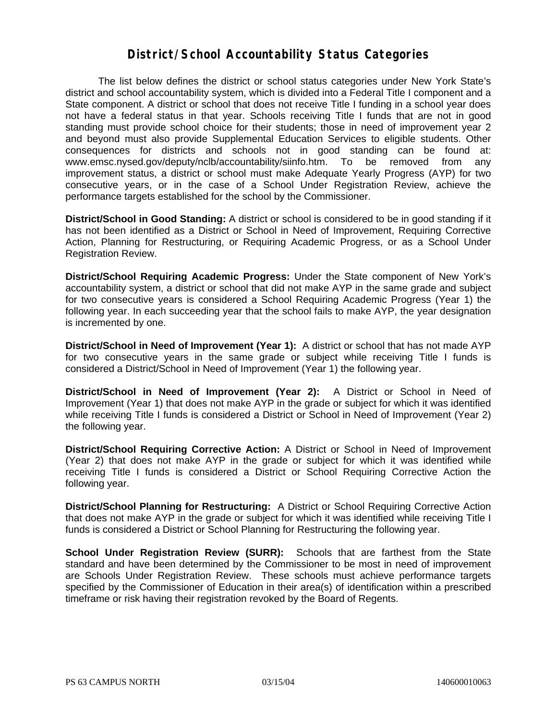### **District/School Accountability Status Categories**

The list below defines the district or school status categories under New York State's district and school accountability system, which is divided into a Federal Title I component and a State component. A district or school that does not receive Title I funding in a school year does not have a federal status in that year. Schools receiving Title I funds that are not in good standing must provide school choice for their students; those in need of improvement year 2 and beyond must also provide Supplemental Education Services to eligible students. Other consequences for districts and schools not in good standing can be found at: www.emsc.nysed.gov/deputy/nclb/accountability/siinfo.htm. To be removed from any improvement status, a district or school must make Adequate Yearly Progress (AYP) for two consecutive years, or in the case of a School Under Registration Review, achieve the performance targets established for the school by the Commissioner.

**District/School in Good Standing:** A district or school is considered to be in good standing if it has not been identified as a District or School in Need of Improvement, Requiring Corrective Action, Planning for Restructuring, or Requiring Academic Progress, or as a School Under Registration Review.

**District/School Requiring Academic Progress:** Under the State component of New York's accountability system, a district or school that did not make AYP in the same grade and subject for two consecutive years is considered a School Requiring Academic Progress (Year 1) the following year. In each succeeding year that the school fails to make AYP, the year designation is incremented by one.

**District/School in Need of Improvement (Year 1):** A district or school that has not made AYP for two consecutive years in the same grade or subject while receiving Title I funds is considered a District/School in Need of Improvement (Year 1) the following year.

**District/School in Need of Improvement (Year 2):** A District or School in Need of Improvement (Year 1) that does not make AYP in the grade or subject for which it was identified while receiving Title I funds is considered a District or School in Need of Improvement (Year 2) the following year.

**District/School Requiring Corrective Action:** A District or School in Need of Improvement (Year 2) that does not make AYP in the grade or subject for which it was identified while receiving Title I funds is considered a District or School Requiring Corrective Action the following year.

**District/School Planning for Restructuring:** A District or School Requiring Corrective Action that does not make AYP in the grade or subject for which it was identified while receiving Title I funds is considered a District or School Planning for Restructuring the following year.

**School Under Registration Review (SURR):** Schools that are farthest from the State standard and have been determined by the Commissioner to be most in need of improvement are Schools Under Registration Review. These schools must achieve performance targets specified by the Commissioner of Education in their area(s) of identification within a prescribed timeframe or risk having their registration revoked by the Board of Regents.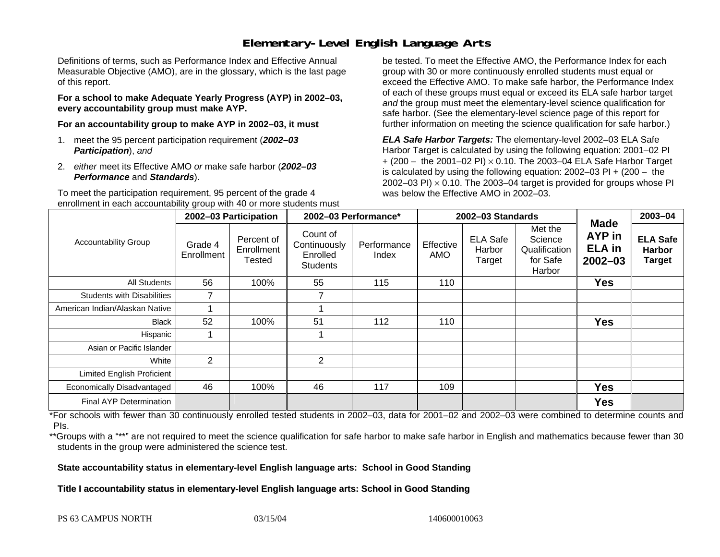### **Elementary-Level English Language Arts**

Definitions of terms, such as Performance Index and Effective Annual Measurable Objective (AMO), are in the glossary, which is the last page of this report.

**For a school to make Adequate Yearly Progress (AYP) in 2002–03, every accountability group must make AYP.** 

**For an accountability group to make AYP in 2002–03, it must** 

- 1. meet the 95 percent participation requirement (*2002–03 Participation*), *and*
- 2. *either* meet its Effective AMO *or* make safe harbor (*2002–03 Performance* and *Standards*).

To meet the participation requirement, 95 percent of the grade 4 enrollment in each accountability group with 40 or more students must

be tested. To meet the Effective AMO, the Performance Index for each group with 30 or more continuously enrolled students must equal or exceed the Effective AMO. To make safe harbor, the Performance Index of each of these groups must equal or exceed its ELA safe harbor target *and* the group must meet the elementary-level science qualification for safe harbor. (See the elementary-level science page of this report for further information on meeting the science qualification for safe harbor.)

*ELA Safe Harbor Targets:* The elementary-level 2002–03 ELA Safe Harbor Target is calculated by using the following equation: 2001–02 PI + (200 – the 2001–02 PI) <sup>×</sup> 0.10. The 2003–04 ELA Safe Harbor Target is calculated by using the following equation: 2002–03 PI + (200 – the 2002–03 PI)  $\times$  0.10. The 2003–04 target is provided for groups whose PI was below the Effective AMO in 2002–03.

|                                   |                       | 2002-03 Participation              | 2002-03 Performance*                                    |                      |                  | 2002-03 Standards                   |                                                           | $2003 - 04$                                                  |                                                   |
|-----------------------------------|-----------------------|------------------------------------|---------------------------------------------------------|----------------------|------------------|-------------------------------------|-----------------------------------------------------------|--------------------------------------------------------------|---------------------------------------------------|
| <b>Accountability Group</b>       | Grade 4<br>Enrollment | Percent of<br>Enrollment<br>Tested | Count of<br>Continuously<br>Enrolled<br><b>Students</b> | Performance<br>Index | Effective<br>AMO | <b>ELA Safe</b><br>Harbor<br>Target | Met the<br>Science<br>Qualification<br>for Safe<br>Harbor | <b>Made</b><br><b>AYP</b> in<br><b>ELA</b> in<br>$2002 - 03$ | <b>ELA Safe</b><br><b>Harbor</b><br><b>Target</b> |
| All Students                      | 56                    | 100%                               | 55                                                      | 115                  | 110              |                                     |                                                           | <b>Yes</b>                                                   |                                                   |
| <b>Students with Disabilities</b> | $\overline{ }$        |                                    | 7                                                       |                      |                  |                                     |                                                           |                                                              |                                                   |
| American Indian/Alaskan Native    |                       |                                    |                                                         |                      |                  |                                     |                                                           |                                                              |                                                   |
| <b>Black</b>                      | 52                    | 100%                               | 51                                                      | 112                  | 110              |                                     |                                                           | <b>Yes</b>                                                   |                                                   |
| Hispanic                          |                       |                                    |                                                         |                      |                  |                                     |                                                           |                                                              |                                                   |
| Asian or Pacific Islander         |                       |                                    |                                                         |                      |                  |                                     |                                                           |                                                              |                                                   |
| White                             | $\overline{2}$        |                                    | $\overline{2}$                                          |                      |                  |                                     |                                                           |                                                              |                                                   |
| <b>Limited English Proficient</b> |                       |                                    |                                                         |                      |                  |                                     |                                                           |                                                              |                                                   |
| Economically Disadvantaged        | 46                    | 100%                               | 46                                                      | 117                  | 109              |                                     |                                                           | <b>Yes</b>                                                   |                                                   |
| <b>Final AYP Determination</b>    |                       |                                    |                                                         |                      |                  |                                     |                                                           | <b>Yes</b>                                                   |                                                   |

\*For schools with fewer than 30 continuously enrolled tested students in 2002–03, data for 2001–02 and 2002–03 were combined to determine counts and PIs.

\*\*Groups with a "\*\*" are not required to meet the science qualification for safe harbor to make safe harbor in English and mathematics because fewer than 30 students in the group were administered the science test.

**State accountability status in elementary-level English language arts: School in Good Standing** 

Title I accountability status in elementary-level English language arts: School in Good Standing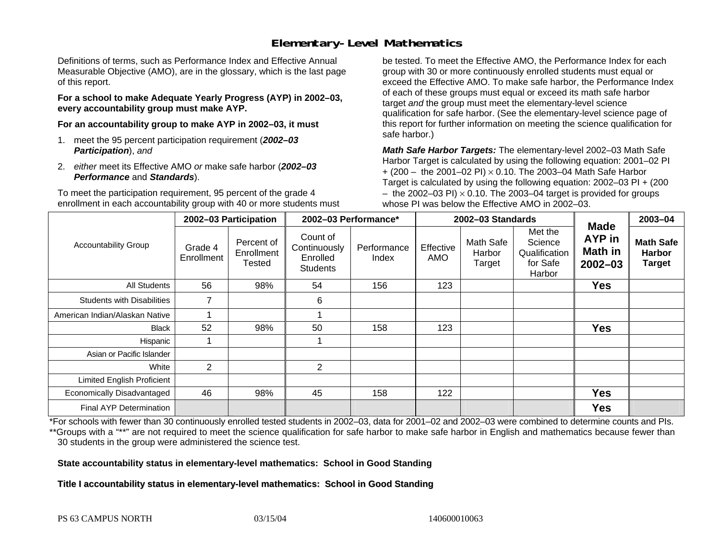### **Elementary-Level Mathematics**

Definitions of terms, such as Performance Index and Effective Annual Measurable Objective (AMO), are in the glossary, which is the last page of this report.

**For a school to make Adequate Yearly Progress (AYP) in 2002–03, every accountability group must make AYP.** 

**For an accountability group to make AYP in 2002–03, it must** 

- 1. meet the 95 percent participation requirement (*2002–03 Participation*), *and*
- 2. *either* meet its Effective AMO *or* make safe harbor (*2002–03 Performance* and *Standards*).

To meet the participation requirement, 95 percent of the grade 4 enrollment in each accountability group with 40 or more students must

be tested. To meet the Effective AMO, the Performance Index for each group with 30 or more continuously enrolled students must equal or exceed the Effective AMO. To make safe harbor, the Performance Index of each of these groups must equal or exceed its math safe harbor target *and* the group must meet the elementary-level science qualification for safe harbor. (See the elementary-level science page of this report for further information on meeting the science qualification for safe harbor.)

*Math Safe Harbor Targets:* The elementary-level 2002–03 Math Safe Harbor Target is calculated by using the following equation: 2001–02 PI + (200 – the 2001–02 PI) × 0.10. The 2003–04 Math Safe Harbor Target is calculated by using the following equation: 2002–03 PI + (200  $-$  the 2002–03 PI)  $\times$  0.10. The 2003–04 target is provided for groups whose PI was below the Effective AMO in 2002–03.

|                                   | 2002-03 Participation |                                    | 2002-03 Performance*                                    |                      |                  | 2002-03 Standards             |                                                           | 2003-04                                                       |                                                    |
|-----------------------------------|-----------------------|------------------------------------|---------------------------------------------------------|----------------------|------------------|-------------------------------|-----------------------------------------------------------|---------------------------------------------------------------|----------------------------------------------------|
| <b>Accountability Group</b>       | Grade 4<br>Enrollment | Percent of<br>Enrollment<br>Tested | Count of<br>Continuously<br>Enrolled<br><b>Students</b> | Performance<br>Index | Effective<br>AMO | Math Safe<br>Harbor<br>Target | Met the<br>Science<br>Qualification<br>for Safe<br>Harbor | <b>Made</b><br><b>AYP</b> in<br><b>Math in</b><br>$2002 - 03$ | <b>Math Safe</b><br><b>Harbor</b><br><b>Target</b> |
| All Students                      | 56                    | 98%                                | 54                                                      | 156                  | 123              |                               |                                                           | <b>Yes</b>                                                    |                                                    |
| <b>Students with Disabilities</b> | $\overline{7}$        |                                    | 6                                                       |                      |                  |                               |                                                           |                                                               |                                                    |
| American Indian/Alaskan Native    |                       |                                    |                                                         |                      |                  |                               |                                                           |                                                               |                                                    |
| <b>Black</b>                      | 52                    | 98%                                | 50                                                      | 158                  | 123              |                               |                                                           | <b>Yes</b>                                                    |                                                    |
| Hispanic                          |                       |                                    |                                                         |                      |                  |                               |                                                           |                                                               |                                                    |
| Asian or Pacific Islander         |                       |                                    |                                                         |                      |                  |                               |                                                           |                                                               |                                                    |
| White                             | $\overline{2}$        |                                    | $\overline{2}$                                          |                      |                  |                               |                                                           |                                                               |                                                    |
| <b>Limited English Proficient</b> |                       |                                    |                                                         |                      |                  |                               |                                                           |                                                               |                                                    |
| Economically Disadvantaged        | 46                    | 98%                                | 45                                                      | 158                  | 122              |                               |                                                           | <b>Yes</b>                                                    |                                                    |
| <b>Final AYP Determination</b>    |                       |                                    |                                                         |                      |                  |                               |                                                           | <b>Yes</b>                                                    |                                                    |

\*For schools with fewer than 30 continuously enrolled tested students in 2002–03, data for 2001–02 and 2002–03 were combined to determine counts and PIs. \*\*Groups with a "\*\*" are not required to meet the science qualification for safe harbor to make safe harbor in English and mathematics because fewer than 30 students in the group were administered the science test.

**State accountability status in elementary-level mathematics: School in Good Standing** 

Title I accountability status in elementary-level mathematics: School in Good Standing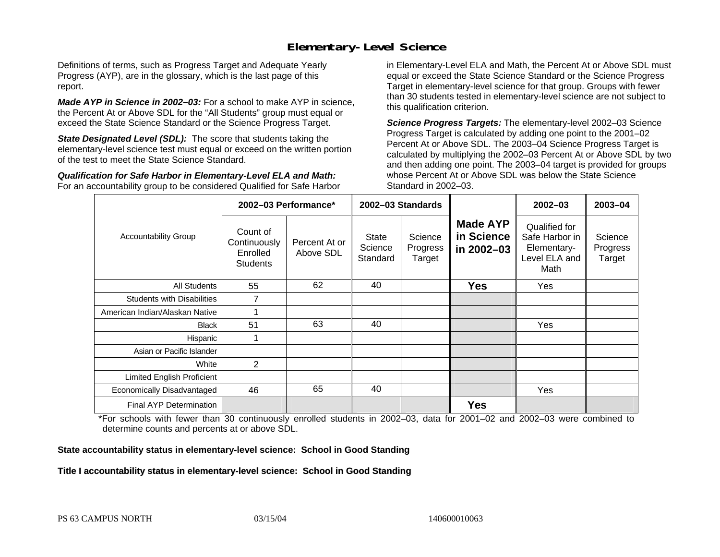### **Elementary-Level Science**

Definitions of terms, such as Progress Target and Adequate Yearly Progress (AYP), are in the glossary, which is the last page of this report.

*Made AYP in Science in 2002–03:* For a school to make AYP in science, the Percent At or Above SDL for the "All Students" group must equal or exceed the State Science Standard or the Science Progress Target.

**State Designated Level (SDL):** The score that students taking the elementary-level science test must equal or exceed on the written portion of the test to meet the State Science Standard.

*Qualification for Safe Harbor in Elementary-Level ELA and Math:* For an accountability group to be considered Qualified for Safe Harbor in Elementary-Level ELA and Math, the Percent At or Above SDL must equal or exceed the State Science Standard or the Science Progress Target in elementary-level science for that group. Groups with fewer than 30 students tested in elementary-level science are not subject to this qualification criterion.

*Science Progress Targets:* The elementary-level 2002–03 Science Progress Target is calculated by adding one point to the 2001–02 Percent At or Above SDL. The 2003–04 Science Progress Target is calculated by multiplying the 2002–03 Percent At or Above SDL by two and then adding one point. The 2003–04 target is provided for groups whose Percent At or Above SDL was below the State Science Standard in 2002–03.

|                                   |                                                                                                                                                               | 2002-03 Performance* | 2002-03 Standards                           |                                                                         |                               | $2002 - 03$ | 2003-04 |
|-----------------------------------|---------------------------------------------------------------------------------------------------------------------------------------------------------------|----------------------|---------------------------------------------|-------------------------------------------------------------------------|-------------------------------|-------------|---------|
| <b>Accountability Group</b>       | Count of<br>Science<br><b>State</b><br>Percent At or<br>Continuously<br>Science<br>Progress<br>Above SDL<br>Enrolled<br>Standard<br>Target<br><b>Students</b> |                      | <b>Made AYP</b><br>in Science<br>in 2002-03 | Qualified for<br>Safe Harbor in<br>Elementary-<br>Level ELA and<br>Math | Science<br>Progress<br>Target |             |         |
| All Students                      | 55                                                                                                                                                            | 62                   | 40                                          |                                                                         | <b>Yes</b>                    | Yes         |         |
| <b>Students with Disabilities</b> | 7                                                                                                                                                             |                      |                                             |                                                                         |                               |             |         |
| American Indian/Alaskan Native    |                                                                                                                                                               |                      |                                             |                                                                         |                               |             |         |
| <b>Black</b>                      | 51                                                                                                                                                            | 63                   | 40                                          |                                                                         |                               | Yes         |         |
| Hispanic                          |                                                                                                                                                               |                      |                                             |                                                                         |                               |             |         |
| Asian or Pacific Islander         |                                                                                                                                                               |                      |                                             |                                                                         |                               |             |         |
| White                             | 2                                                                                                                                                             |                      |                                             |                                                                         |                               |             |         |
| Limited English Proficient        |                                                                                                                                                               |                      |                                             |                                                                         |                               |             |         |
| Economically Disadvantaged        | 46                                                                                                                                                            | 65                   | 40                                          |                                                                         |                               | Yes         |         |
| <b>Final AYP Determination</b>    |                                                                                                                                                               |                      |                                             |                                                                         | <b>Yes</b>                    |             |         |

\*For schools with fewer than 30 continuously enrolled students in 2002–03, data for 2001–02 and 2002–03 were combined to determine counts and percents at or above SDL.

#### **State accountability status in elementary-level science: School in Good Standing**

#### Title I accountability status in elementary-level science: School in Good Standing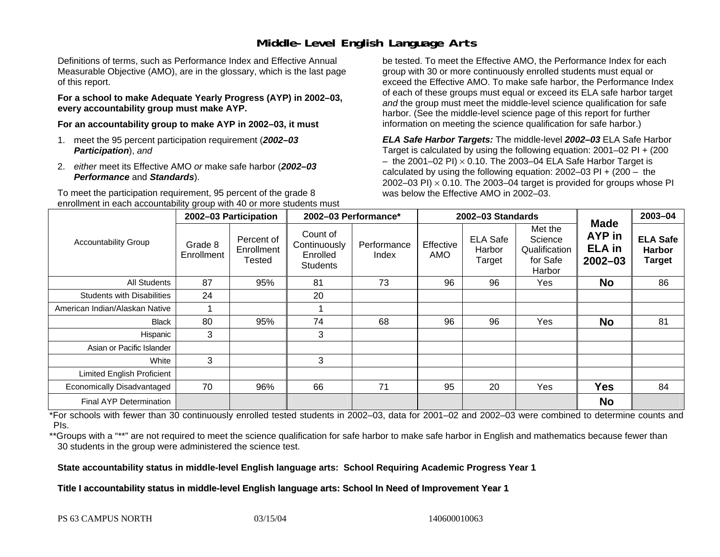### **Middle-Level English Language Arts**

Definitions of terms, such as Performance Index and Effective Annual Measurable Objective (AMO), are in the glossary, which is the last page of this report.

**For a school to make Adequate Yearly Progress (AYP) in 2002–03, every accountability group must make AYP.** 

**For an accountability group to make AYP in 2002–03, it must** 

- 1. meet the 95 percent participation requirement (*2002–03 Participation*), *and*
- 2. *either* meet its Effective AMO *or* make safe harbor (*2002–03 Performance* and *Standards*).

To meet the participation requirement, 95 percent of the grade 8 enrollment in each accountability group with 40 or more students must

be tested. To meet the Effective AMO, the Performance Index for each group with 30 or more continuously enrolled students must equal or exceed the Effective AMO. To make safe harbor, the Performance Index of each of these groups must equal or exceed its ELA safe harbor target *and* the group must meet the middle-level science qualification for safe harbor. (See the middle-level science page of this report for further information on meeting the science qualification for safe harbor.)

*ELA Safe Harbor Targets:* The middle-level *2002–03* ELA Safe Harbor Target is calculated by using the following equation: 2001–02 PI + (200  $-$  the 2001–02 PI)  $\times$  0.10. The 2003–04 ELA Safe Harbor Target is  $\,$ calculated by using the following equation:  $2002-03$  PI +  $(200 -$  the 2002–03 PI)  $\times$  0.10. The 2003–04 target is provided for groups whose PI was below the Effective AMO in 2002–03.

|                                   |                       | 2002-03 Participation              | 2002-03 Performance*                                    |                      | 2002-03 Standards       |                                     |                                                           |                                                | 2003-04                                    |
|-----------------------------------|-----------------------|------------------------------------|---------------------------------------------------------|----------------------|-------------------------|-------------------------------------|-----------------------------------------------------------|------------------------------------------------|--------------------------------------------|
| <b>Accountability Group</b>       | Grade 8<br>Enrollment | Percent of<br>Enrollment<br>Tested | Count of<br>Continuously<br>Enrolled<br><b>Students</b> | Performance<br>Index | Effective<br><b>AMO</b> | <b>ELA Safe</b><br>Harbor<br>Target | Met the<br>Science<br>Qualification<br>for Safe<br>Harbor | Made<br>AYP in<br><b>ELA</b> in<br>$2002 - 03$ | <b>ELA Safe</b><br><b>Harbor</b><br>Target |
| All Students                      | 87                    | 95%                                | 81                                                      | 73                   | 96                      | 96                                  | Yes                                                       | <b>No</b>                                      | 86                                         |
| <b>Students with Disabilities</b> | 24                    |                                    | 20                                                      |                      |                         |                                     |                                                           |                                                |                                            |
| American Indian/Alaskan Native    |                       |                                    |                                                         |                      |                         |                                     |                                                           |                                                |                                            |
| <b>Black</b>                      | 80                    | 95%                                | 74                                                      | 68                   | 96                      | 96                                  | Yes                                                       | <b>No</b>                                      | 81                                         |
| Hispanic                          | 3                     |                                    | 3                                                       |                      |                         |                                     |                                                           |                                                |                                            |
| Asian or Pacific Islander         |                       |                                    |                                                         |                      |                         |                                     |                                                           |                                                |                                            |
| White                             | 3                     |                                    | 3                                                       |                      |                         |                                     |                                                           |                                                |                                            |
| Limited English Proficient        |                       |                                    |                                                         |                      |                         |                                     |                                                           |                                                |                                            |
| Economically Disadvantaged        | 70                    | 96%                                | 66                                                      | 71                   | 95                      | 20                                  | Yes                                                       | <b>Yes</b>                                     | 84                                         |
| <b>Final AYP Determination</b>    |                       |                                    |                                                         |                      |                         |                                     |                                                           | <b>No</b>                                      |                                            |

\*For schools with fewer than 30 continuously enrolled tested students in 2002–03, data for 2001–02 and 2002–03 were combined to determine counts and PIs.

\*\*Groups with a "\*\*" are not required to meet the science qualification for safe harbor to make safe harbor in English and mathematics because fewer than 30 students in the group were administered the science test.

**State accountability status in middle-level English language arts: School Requiring Academic Progress Year 1** 

Title I accountability status in middle-level English language arts: School In Need of Improvement Year 1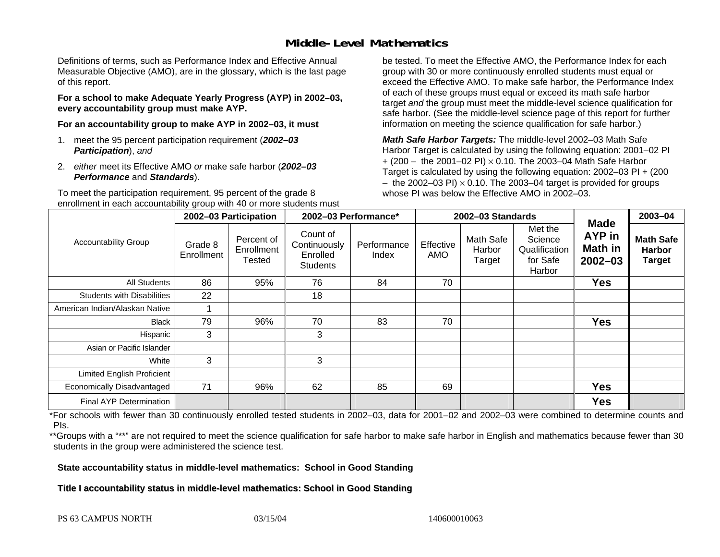### **Middle-Level Mathematics**

Definitions of terms, such as Performance Index and Effective Annual Measurable Objective (AMO), are in the glossary, which is the last page of this report.

**For a school to make Adequate Yearly Progress (AYP) in 2002–03, every accountability group must make AYP.** 

**For an accountability group to make AYP in 2002–03, it must** 

- 1. meet the 95 percent participation requirement (*2002–03 Participation*), *and*
- 2. *either* meet its Effective AMO *or* make safe harbor (*2002–03 Performance* and *Standards*).

To meet the participation requirement, 95 percent of the grade 8 enrollment in each accountability group with 40 or more students must

be tested. To meet the Effective AMO, the Performance Index for each group with 30 or more continuously enrolled students must equal or exceed the Effective AMO. To make safe harbor, the Performance Index of each of these groups must equal or exceed its math safe harbor target *and* the group must meet the middle-level science qualification for safe harbor. (See the middle-level science page of this report for further information on meeting the science qualification for safe harbor.)

*Math Safe Harbor Targets:* The middle-level 2002–03 Math Safe Harbor Target is calculated by using the following equation: 2001–02 PI + (200 – the 2001–02 PI) × 0.10. The 2003–04 Math Safe Harbor Target is calculated by using the following equation: 2002–03 PI + (200  $-$  the 2002–03 PI)  $\times$  0.10. The 2003–04 target is provided for groups whose PI was below the Effective AMO in 2002–03

|                                   | 2002-03 Participation |                                    | 2002-03 Performance*                                    |                      |                  | 2002-03 Standards                    |                                                           | 2003-04                                                       |                                                    |
|-----------------------------------|-----------------------|------------------------------------|---------------------------------------------------------|----------------------|------------------|--------------------------------------|-----------------------------------------------------------|---------------------------------------------------------------|----------------------------------------------------|
| <b>Accountability Group</b>       | Grade 8<br>Enrollment | Percent of<br>Enrollment<br>Tested | Count of<br>Continuously<br>Enrolled<br><b>Students</b> | Performance<br>Index | Effective<br>AMO | <b>Math Safe</b><br>Harbor<br>Target | Met the<br>Science<br>Qualification<br>for Safe<br>Harbor | <b>Made</b><br><b>AYP</b> in<br><b>Math in</b><br>$2002 - 03$ | <b>Math Safe</b><br><b>Harbor</b><br><b>Target</b> |
| All Students                      | 86                    | 95%                                | 76                                                      | 84                   | 70               |                                      |                                                           | <b>Yes</b>                                                    |                                                    |
| <b>Students with Disabilities</b> | 22                    |                                    | 18                                                      |                      |                  |                                      |                                                           |                                                               |                                                    |
| American Indian/Alaskan Native    |                       |                                    |                                                         |                      |                  |                                      |                                                           |                                                               |                                                    |
| <b>Black</b>                      | 79                    | 96%                                | 70                                                      | 83                   | 70               |                                      |                                                           | <b>Yes</b>                                                    |                                                    |
| Hispanic                          | 3                     |                                    | 3                                                       |                      |                  |                                      |                                                           |                                                               |                                                    |
| Asian or Pacific Islander         |                       |                                    |                                                         |                      |                  |                                      |                                                           |                                                               |                                                    |
| White                             | 3                     |                                    | 3                                                       |                      |                  |                                      |                                                           |                                                               |                                                    |
| Limited English Proficient        |                       |                                    |                                                         |                      |                  |                                      |                                                           |                                                               |                                                    |
| Economically Disadvantaged        | 71                    | 96%                                | 62                                                      | 85                   | 69               |                                      |                                                           | <b>Yes</b>                                                    |                                                    |
| <b>Final AYP Determination</b>    |                       |                                    |                                                         |                      |                  |                                      |                                                           | <b>Yes</b>                                                    |                                                    |

\*For schools with fewer than 30 continuously enrolled tested students in 2002–03, data for 2001–02 and 2002–03 were combined to determine counts and PIs.

\*\*Groups with a "\*\*" are not required to meet the science qualification for safe harbor to make safe harbor in English and mathematics because fewer than 30 students in the group were administered the science test.

**State accountability status in middle-level mathematics: School in Good Standing** 

Title I accountability status in middle-level mathematics: School in Good Standing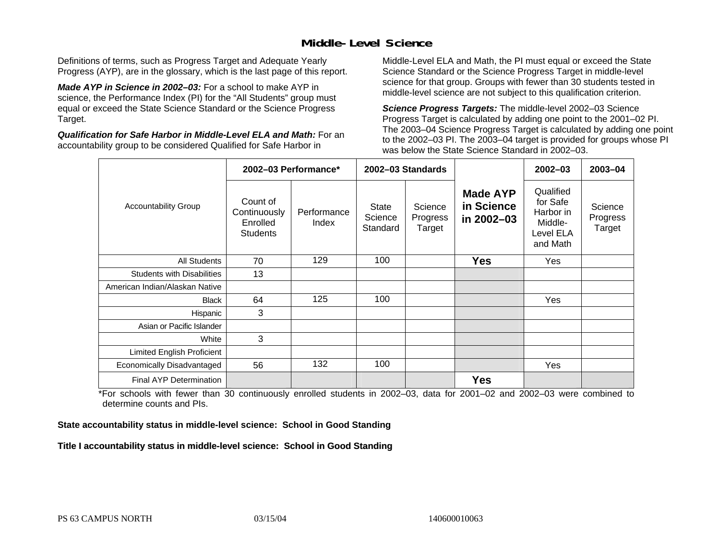### **Middle-Level Science**

Definitions of terms, such as Progress Target and Adequate Yearly Progress (AYP), are in the glossary, which is the last page of this report.

*Made AYP in Science in 2002–03:* For a school to make AYP in science, the Performance Index (PI) for the "All Students" group must equal or exceed the State Science Standard or the Science Progress Target.

*Qualification for Safe Harbor in Middle-Level ELA and Math:* For an accountability group to be considered Qualified for Safe Harbor in

Middle-Level ELA and Math, the PI must equal or exceed the State Science Standard or the Science Progress Target in middle-level science for that group. Groups with fewer than 30 students tested in middle-level science are not subject to this qualification criterion.

*Science Progress Targets:* The middle-level 2002–03 Science Progress Target is calculated by adding one point to the 2001–02 PI. The 2003–04 Science Progress Target is calculated by adding one point to the 2002–03 PI. The 2003–04 target is provided for groups whose PI was below the State Science Standard in 2002–03.

|                                   |                                                         | 2002-03 Performance* |                              | 2002-03 Standards             |                                             | $2002 - 03$                                                            | $2003 - 04$                   |
|-----------------------------------|---------------------------------------------------------|----------------------|------------------------------|-------------------------------|---------------------------------------------|------------------------------------------------------------------------|-------------------------------|
| <b>Accountability Group</b>       | Count of<br>Continuously<br>Enrolled<br><b>Students</b> | Performance<br>Index | State<br>Science<br>Standard | Science<br>Progress<br>Target | <b>Made AYP</b><br>in Science<br>in 2002-03 | Qualified<br>for Safe<br>Harbor in<br>Middle-<br>Level ELA<br>and Math | Science<br>Progress<br>Target |
| <b>All Students</b>               | 70                                                      | 129                  | 100                          |                               | <b>Yes</b>                                  | Yes                                                                    |                               |
| <b>Students with Disabilities</b> | 13                                                      |                      |                              |                               |                                             |                                                                        |                               |
| American Indian/Alaskan Native    |                                                         |                      |                              |                               |                                             |                                                                        |                               |
| <b>Black</b>                      | 64                                                      | 125                  | 100                          |                               |                                             | Yes                                                                    |                               |
| Hispanic                          | 3                                                       |                      |                              |                               |                                             |                                                                        |                               |
| Asian or Pacific Islander         |                                                         |                      |                              |                               |                                             |                                                                        |                               |
| White                             | 3                                                       |                      |                              |                               |                                             |                                                                        |                               |
| Limited English Proficient        |                                                         |                      |                              |                               |                                             |                                                                        |                               |
| Economically Disadvantaged        | 56                                                      | 132                  | 100                          |                               |                                             | Yes                                                                    |                               |
| Final AYP Determination           |                                                         |                      |                              |                               | <b>Yes</b>                                  |                                                                        |                               |

\*For schools with fewer than 30 continuously enrolled students in 2002–03, data for 2001–02 and 2002–03 were combined to determine counts and PIs.

**State accountability status in middle-level science: School in Good Standing** 

Title I accountability status in middle-level science: School in Good Standing